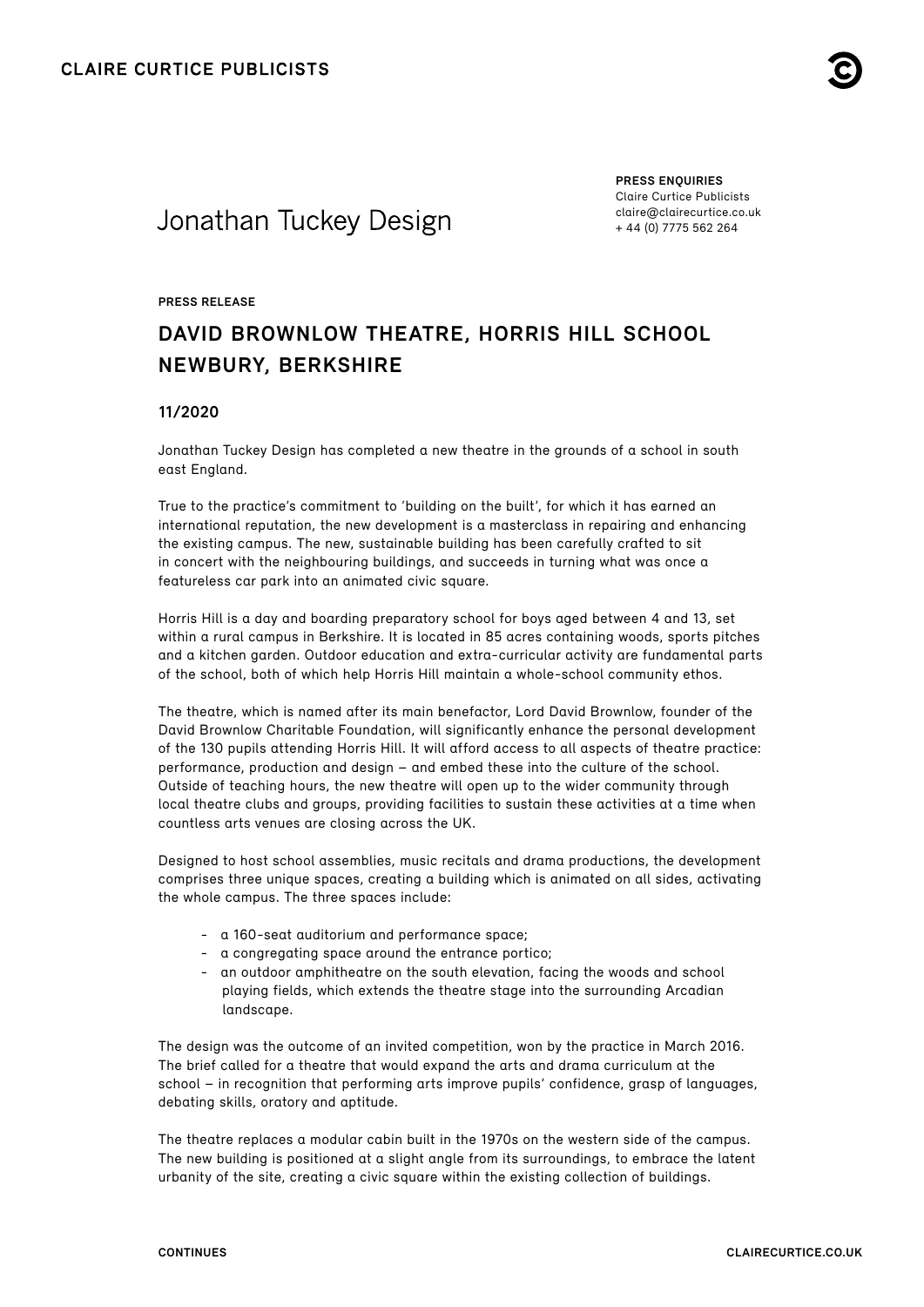

# Jonathan Tuckey Design

**PRESS ENQUIRIES** Claire Curtice Publicists [claire@clairecurtice.co.uk](mailto:claire@clairecurtice.co.uk) + 44 (0) 7775 562 264

#### **PRESS RELEASE**

# **DAVID BROWNLOW THEATRE, HORRIS HILL SCHOOL NEWBURY, BERKSHIRE**

### **11/2020**

Jonathan Tuckey Design has completed a new theatre in the grounds of a school in south east England.

True to the practice's commitment to 'building on the built', for which it has earned an international reputation, the new development is a masterclass in repairing and enhancing the existing campus. The new, sustainable building has been carefully crafted to sit in concert with the neighbouring buildings, and succeeds in turning what was once a featureless car park into an animated civic square.

Horris Hill is a day and boarding preparatory school for boys aged between 4 and 13, set within a rural campus in Berkshire. It is located in 85 acres containing woods, sports pitches and a kitchen garden. Outdoor education and extra-curricular activity are fundamental parts of the school, both of which help Horris Hill maintain a whole-school community ethos.

The theatre, which is named after its main benefactor, Lord David Brownlow, founder of the David Brownlow Charitable Foundation, will significantly enhance the personal development of the 130 pupils attending Horris Hill. It will afford access to all aspects of theatre practice: performance, production and design – and embed these into the culture of the school. Outside of teaching hours, the new theatre will open up to the wider community through local theatre clubs and groups, providing facilities to sustain these activities at a time when countless arts venues are closing across the UK.

Designed to host school assemblies, music recitals and drama productions, the development comprises three unique spaces, creating a building which is animated on all sides, activating the whole campus. The three spaces include:

- a 160-seat auditorium and performance space;
- a congregating space around the entrance portico;
- an outdoor amphitheatre on the south elevation, facing the woods and school playing fields, which extends the theatre stage into the surrounding Arcadian landscape.

The design was the outcome of an invited competition, won by the practice in March 2016. The brief called for a theatre that would expand the arts and drama curriculum at the school – in recognition that performing arts improve pupils' confidence, grasp of languages, debating skills, oratory and aptitude.

The theatre replaces a modular cabin built in the 1970s on the western side of the campus. The new building is positioned at a slight angle from its surroundings, to embrace the latent urbanity of the site, creating a civic square within the existing collection of buildings.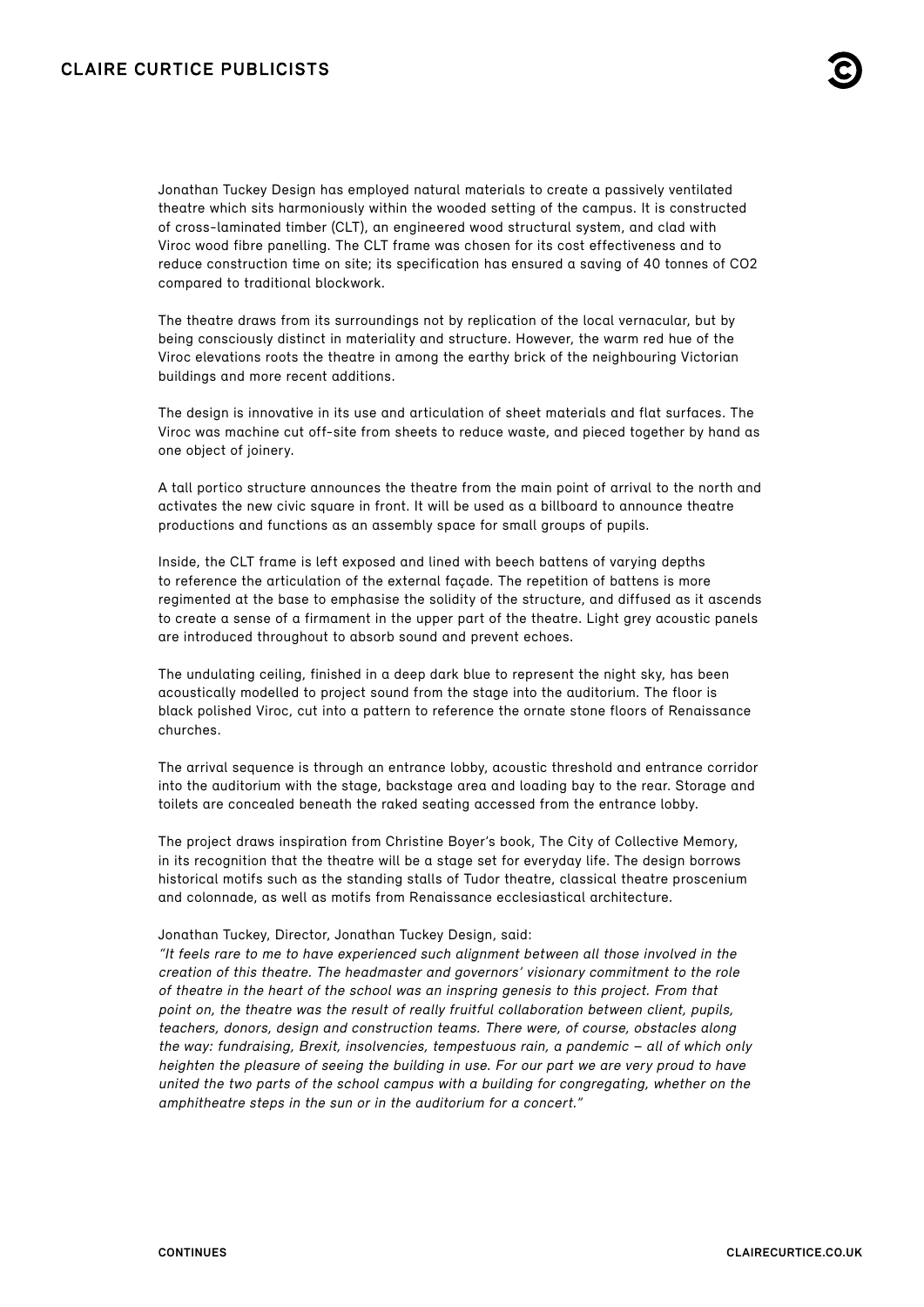## **CLAIRE CURTICE PUBLICISTS**



Jonathan Tuckey Design has employed natural materials to create a passively ventilated theatre which sits harmoniously within the wooded setting of the campus. It is constructed of cross-laminated timber (CLT), an engineered wood structural system, and clad with Viroc wood fibre panelling. The CLT frame was chosen for its cost effectiveness and to reduce construction time on site; its specification has ensured a saving of 40 tonnes of CO2 compared to traditional blockwork.

The theatre draws from its surroundings not by replication of the local vernacular, but by being consciously distinct in materiality and structure. However, the warm red hue of the Viroc elevations roots the theatre in among the earthy brick of the neighbouring Victorian buildings and more recent additions.

The design is innovative in its use and articulation of sheet materials and flat surfaces. The Viroc was machine cut off-site from sheets to reduce waste, and pieced together by hand as one object of joinery.

A tall portico structure announces the theatre from the main point of arrival to the north and activates the new civic square in front. It will be used as a billboard to announce theatre productions and functions as an assembly space for small groups of pupils.

Inside, the CLT frame is left exposed and lined with beech battens of varying depths to reference the articulation of the external façade. The repetition of battens is more regimented at the base to emphasise the solidity of the structure, and diffused as it ascends to create a sense of a firmament in the upper part of the theatre. Light grey acoustic panels are introduced throughout to absorb sound and prevent echoes.

The undulating ceiling, finished in a deep dark blue to represent the night sky, has been acoustically modelled to project sound from the stage into the auditorium. The floor is black polished Viroc, cut into a pattern to reference the ornate stone floors of Renaissance churches.

The arrival sequence is through an entrance lobby, acoustic threshold and entrance corridor into the auditorium with the stage, backstage area and loading bay to the rear. Storage and toilets are concealed beneath the raked seating accessed from the entrance lobby.

The project draws inspiration from Christine Boyer's book, The City of Collective Memory, in its recognition that the theatre will be a stage set for everyday life. The design borrows historical motifs such as the standing stalls of Tudor theatre, classical theatre proscenium and colonnade, as well as motifs from Renaissance ecclesiastical architecture.

#### Jonathan Tuckey, Director, Jonathan Tuckey Design, said:

"It feels rare to me to have experienced such alignment between all those involved in the creation of this theatre. The headmaster and governors' visionary commitment to the role of theatre in the heart of the school was an inspring genesis to this project. From that point on, the theatre was the result of really fruitful collaboration between client, pupils, teachers, donors, design and construction teams. There were, of course, obstacles along the way: fundraising, Brexit, insolvencies, tempestuous rain, a pandemic – all of which only heighten the pleasure of seeing the building in use. For our part we are very proud to have united the two parts of the school campus with a building for congregating, whether on the amphitheatre steps in the sun or in the auditorium for a concert."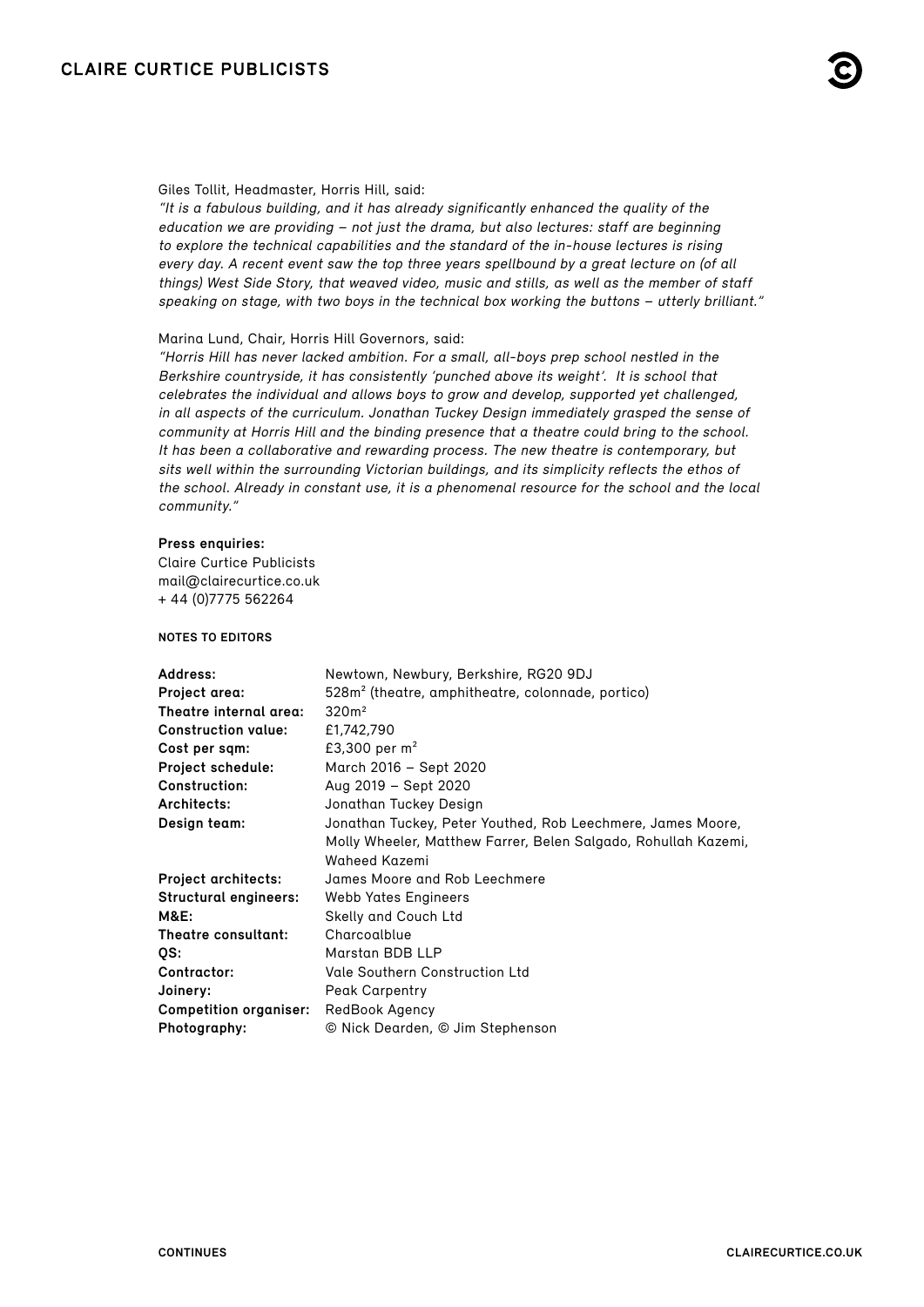

#### Giles Tollit, Headmaster, Horris Hill, said:

"It is a fabulous building, and it has already significantly enhanced the quality of the education we are providing – not just the drama, but also lectures: staff are beginning to explore the technical capabilities and the standard of the in-house lectures is rising every day. A recent event saw the top three years spellbound by a great lecture on (of all things) West Side Story, that weaved video, music and stills, as well as the member of staff speaking on stage, with two boys in the technical box working the buttons – utterly brilliant."

#### Marina Lund, Chair, Horris Hill Governors, said:

"Horris Hill has never lacked ambition. For a small, all-boys prep school nestled in the Berkshire countryside, it has consistently 'punched above its weight'. It is school that celebrates the individual and allows boys to grow and develop, supported yet challenged, in all aspects of the curriculum. Jonathan Tuckey Design immediately grasped the sense of community at Horris Hill and the binding presence that a theatre could bring to the school. It has been a collaborative and rewarding process. The new theatre is contemporary, but sits well within the surrounding Victorian buildings, and its simplicity reflects the ethos of the school. Already in constant use, it is a phenomenal resource for the school and the local community."

#### **Press enquiries:**

Claire Curtice Publicists [mail@clairecurtice.co.uk](mailto:mail@clairecurtice.co.uk?subject=Jonathan Tuckey Design - David Brownlow Theatre) + 44 (0)7775 562264

### **NOTES TO EDITORS**

| Address:                      | Newtown, Newbury, Berkshire, RG20 9DJ                          |
|-------------------------------|----------------------------------------------------------------|
| Project area:                 | 528m <sup>2</sup> (theatre, amphitheatre, colonnade, portico)  |
| Theatre internal area:        | 320m <sup>2</sup>                                              |
| <b>Construction value:</b>    | £1,742,790                                                     |
| Cost per sqm:                 | £3,300 per $m^2$                                               |
| Project schedule:             | March 2016 - Sept 2020                                         |
| <b>Construction:</b>          | Aug 2019 - Sept 2020                                           |
| Architects:                   | Jonathan Tuckey Design                                         |
| Design team:                  | Jonathan Tuckey, Peter Youthed, Rob Leechmere, James Moore,    |
|                               | Molly Wheeler, Matthew Farrer, Belen Salgado, Rohullah Kazemi, |
|                               | Waheed Kazemi                                                  |
| <b>Project architects:</b>    | James Moore and Rob Leechmere                                  |
| <b>Structural engineers:</b>  | <b>Webb Yates Engineers</b>                                    |
| <b>M&amp;E:</b>               | Skelly and Couch Ltd                                           |
| Theatre consultant:           | Charcoalblue                                                   |
| QS:                           | Marstan BDB LLP                                                |
| Contractor:                   | <b>Vale Southern Construction Ltd</b>                          |
| Joinery:                      | <b>Peak Carpentry</b>                                          |
| <b>Competition organiser:</b> | RedBook Agency                                                 |
| Photography:                  | © Nick Dearden, © Jim Stephenson                               |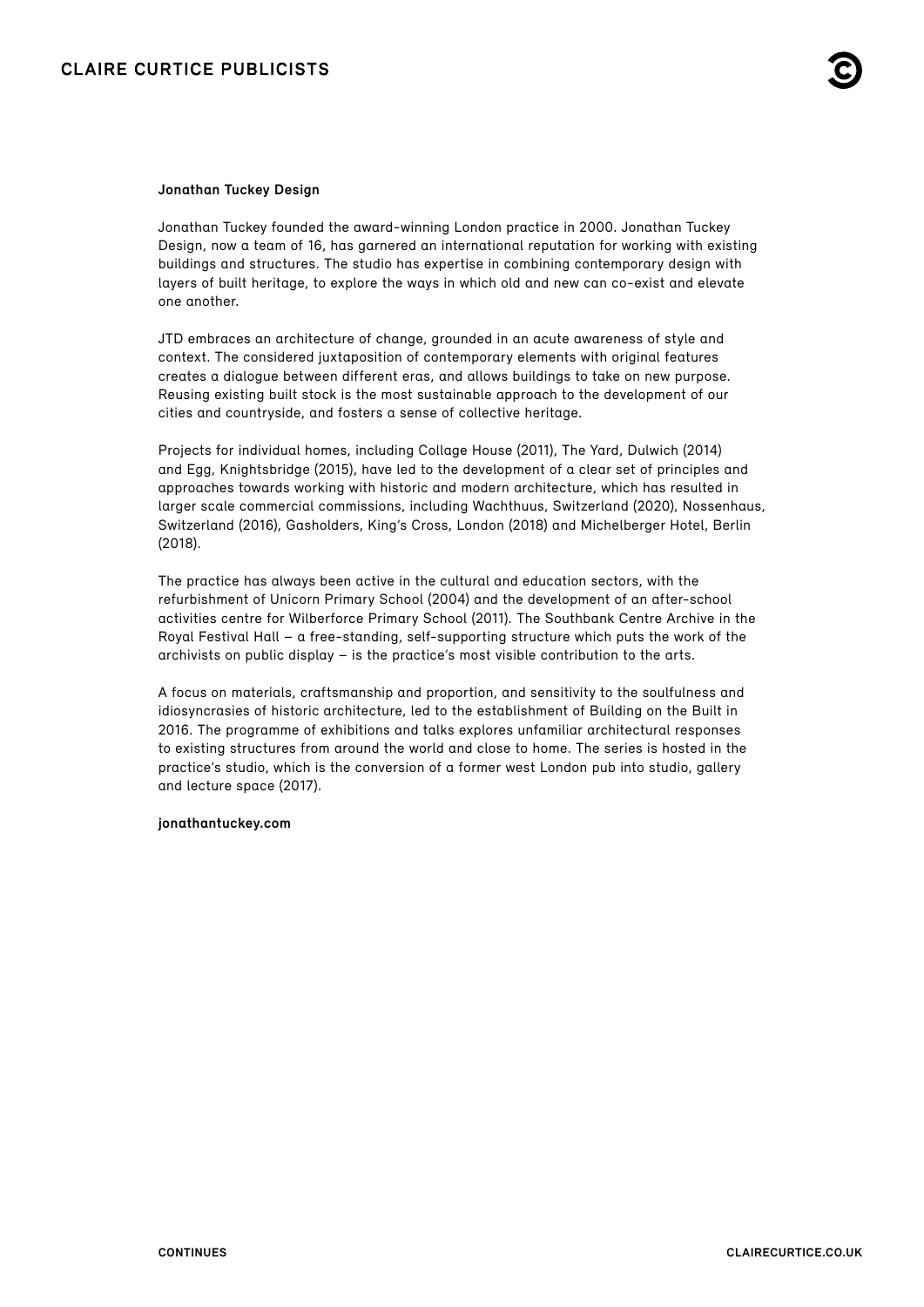#### **Jonathan Tuckey Design**

Jonathan Tuckey founded the award-winning London practice in 2000. Jonathan Tuckey Design, now a team of 16, has garnered an international reputation for working with existing buildings and structures. The studio has expertise in combining contemporary design with layers of built heritage, to explore the ways in which old and new can co-exist and elevate one another.

JTD embraces an architecture of change, grounded in an acute awareness of style and context. The considered juxtaposition of contemporary elements with original features creates a dialogue between different eras, and allows buildings to take on new purpose. Reusing existing built stock is the most sustainable approach to the development of our cities and countryside, and fosters a sense of collective heritage.

Projects for individual homes, including Collage House (2011), The Yard, Dulwich (2014) and Egg, Knightsbridge (2015), have led to the development of a clear set of principles and approaches towards working with historic and modern architecture, which has resulted in larger scale commercial commissions, including Wachthuus, Switzerland (2020), Nossenhaus, Switzerland (2016), Gasholders, King's Cross, London (2018) and Michelberger Hotel, Berlin (2018).

The practice has always been active in the cultural and education sectors, with the refurbishment of Unicorn Primary School (2004) and the development of an after-school activities centre for Wilberforce Primary School (2011). The Southbank Centre Archive in the Royal Festival Hall – a free-standing, self-supporting structure which puts the work of the archivists on public display – is the practice's most visible contribution to the arts.

A focus on materials, craftsmanship and proportion, and sensitivity to the soulfulness and idiosyncrasies of historic architecture, led to the establishment of Building on the Built in 2016. The programme of exhibitions and talks explores unfamiliar architectural responses to existing structures from around the world and close to home. The series is hosted in the practice's studio, which is the conversion of a former west London pub into studio, gallery and lecture space (2017).

#### **[jonathantuckey.com](http://www.jonathantuckey.com)**